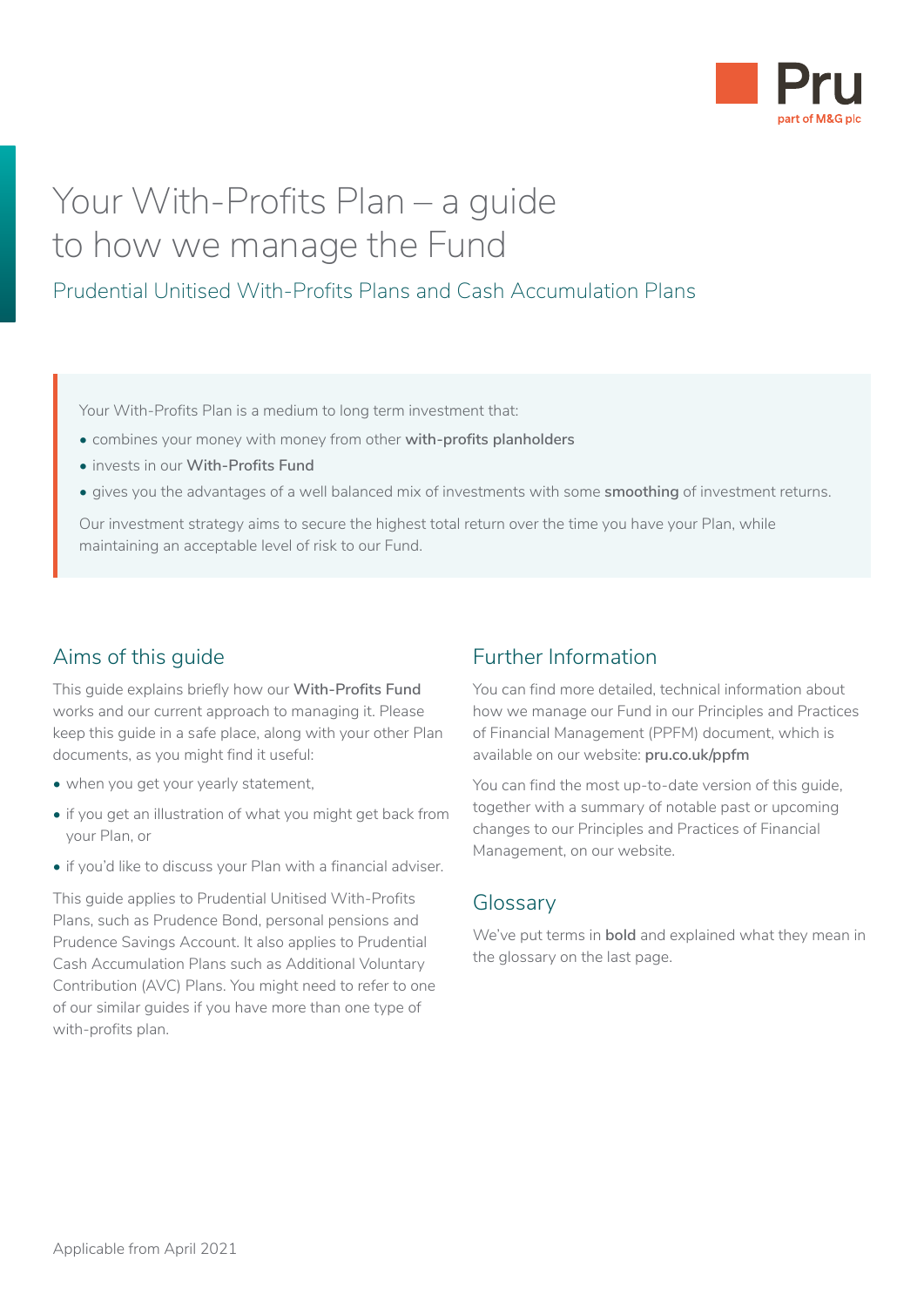

# Your With-Profits Plan – a guide to how we manage the Fund

### Prudential Unitised With-Profits Plans and Cash Accumulation Plans

Your With-Profits Plan is a medium to long term investment that:

- combines your money with money from other **with-profits planholders**
- invests in our **With-Profits Fund**
- gives you the advantages of a well balanced mix of investments with some **smoothing** of investment returns.

Our investment strategy aims to secure the highest total return over the time you have your Plan, while maintaining an acceptable level of risk to our Fund.

### Aims of this guide

This guide explains briefly how our **With-Profits Fund** works and our current approach to managing it. Please keep this guide in a safe place, along with your other Plan documents, as you might find it useful:

- when you get your yearly statement,
- if you get an illustration of what you might get back from your Plan, or
- if you'd like to discuss your Plan with a financial adviser.

This guide applies to Prudential Unitised With-Profits Plans, such as Prudence Bond, personal pensions and Prudence Savings Account. It also applies to Prudential Cash Accumulation Plans such as Additional Voluntary Contribution (AVC) Plans. You might need to refer to one of our similar guides if you have more than one type of with-profits plan.

### Further Information

You can find more detailed, technical information about how we manage our Fund in our Principles and Practices of Financial Management (PPFM) document, which is available on our website: **[pru.co.uk/ppfm](http://www.pru.co.uk/ppfm)**

You can find the most up-to-date version of this quide, together with a summary of notable past or upcoming changes to our Principles and Practices of Financial Management, on our website.

### Glossary

We've put terms in **bold** and explained what they mean in the glossary on the last page.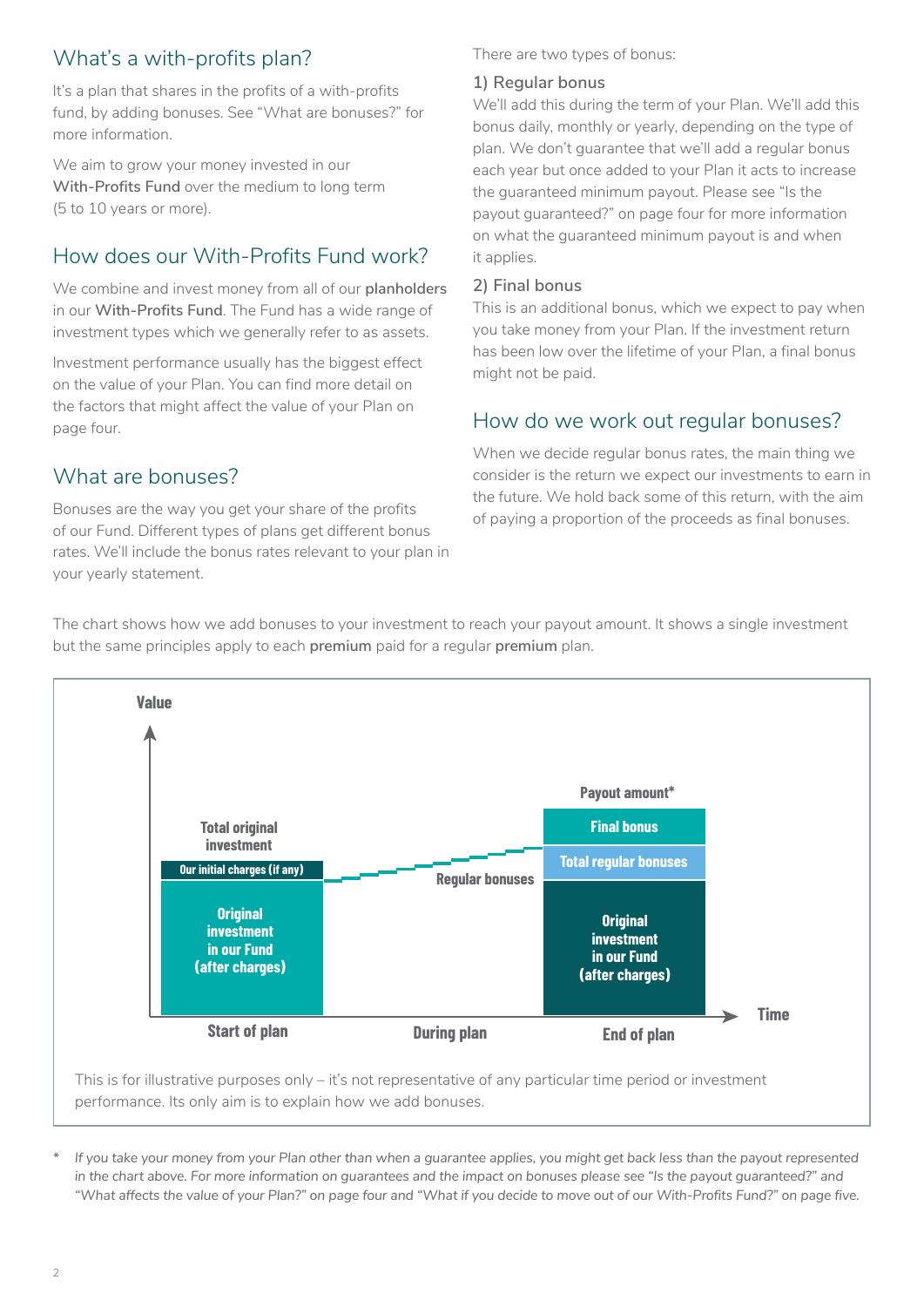# What's a with-profits plan?

It's a plan that shares in the profits of a with-profits fund, by adding bonuses. See "What are bonuses?" for more information.

We aim to grow your money invested in our **With-Profits Fund** over the medium to long term (5 to 10 years or more).

## How does our With-Profits Fund work?

We combine and invest money from all of our **planholders** in our **With-Profits Fund**. The Fund has a wide range of investment types which we generally refer to as assets.

Investment performance usually has the biggest effect on the value of your Plan. You can find more detail on the factors that might affect the value of your Plan on page four.

### What are bonuses?

Bonuses are the way you get your share of the profits of our Fund. Different types of plans get different bonus rates. We'll include the bonus rates relevant to your plan in your yearly statement.

#### There are two types of bonus:

### **1) Regular bonus**

We'll add this during the term of your Plan. We'll add this bonus daily, monthly or yearly, depending on the type of plan. We don't guarantee that we'll add a regular bonus each year but once added to your Plan it acts to increase the guaranteed minimum payout. Please see "Is the payout guaranteed?" on page four for more information on what the guaranteed minimum payout is and when it applies.

#### **2) Final bonus**

This is an additional bonus, which we expect to pay when you take money from your Plan. If the investment return has been low over the lifetime of your Plan, a final bonus might not be paid.

### How do we work out regular bonuses?

When we decide regular bonus rates, the main thing we consider is the return we expect our investments to earn in the future. We hold back some of this return, with the aim of paying a proportion of the proceeds as final bonuses.

The chart shows how we add bonuses to your investment to reach your payout amount. It shows a single investment but the same principles apply to each **premium** paid for a regular **premium** plan.



*<sup>\*</sup> If you take your money from your Plan other than when a guarantee applies, you might get back less than the payout represented in the chart above. For more information on guarantees and the impact on bonuses please see "Is the payout guaranteed?" and "What affects the value of your Plan?" on page four and "What if you decide to move out of our With-Profits Fund?" on page five.*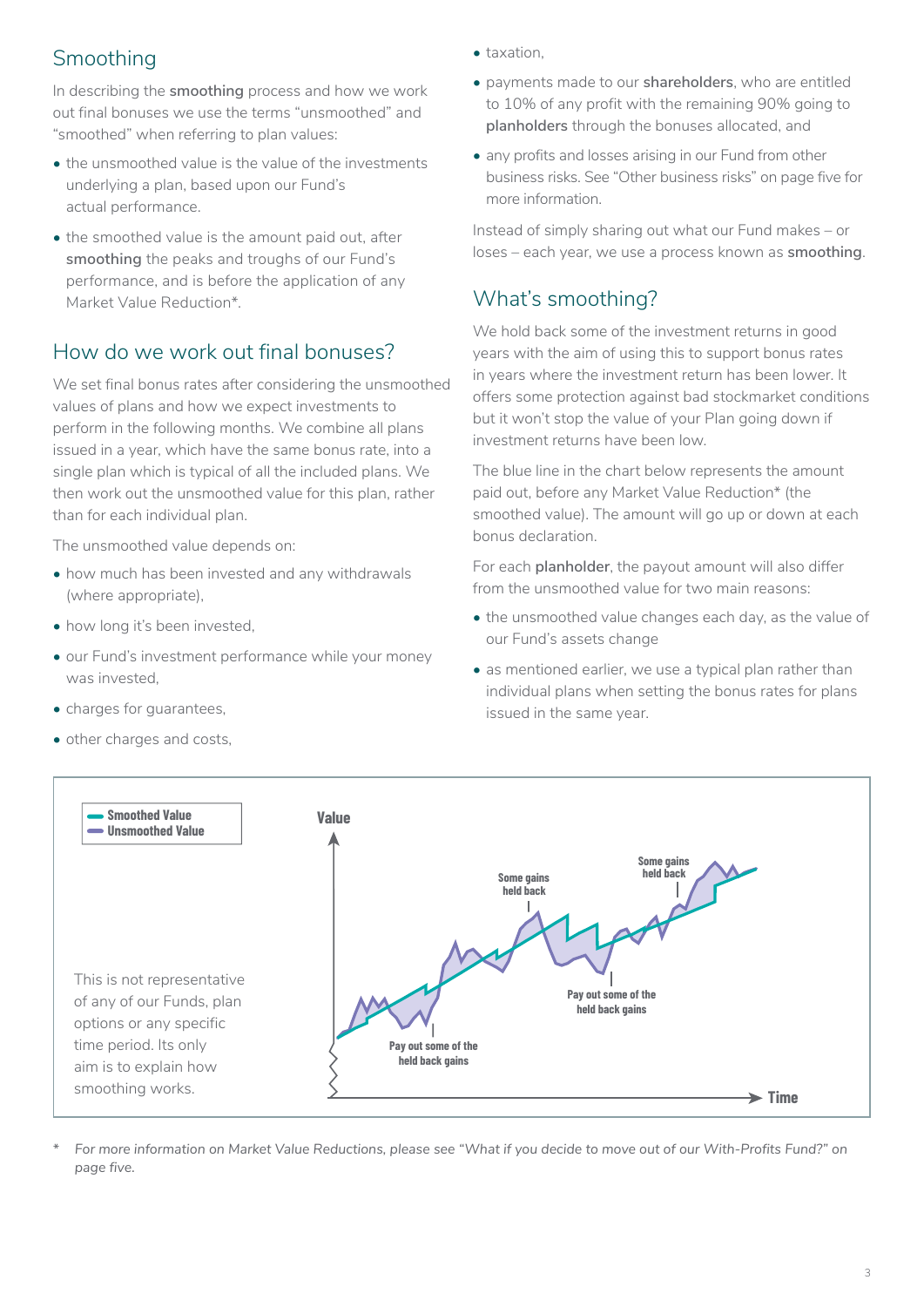# Smoothing

In describing the **smoothing** process and how we work out final bonuses we use the terms "unsmoothed" and "smoothed" when referring to plan values:

- the unsmoothed value is the value of the investments underlying a plan, based upon our Fund's actual performance.
- the smoothed value is the amount paid out, after **smoothing** the peaks and troughs of our Fund's performance, and is before the application of any Market Value Reduction\*.

### How do we work out final bonuses?

We set final bonus rates after considering the unsmoothed values of plans and how we expect investments to perform in the following months. We combine all plans issued in a year, which have the same bonus rate, into a single plan which is typical of all the included plans. We then work out the unsmoothed value for this plan, rather than for each individual plan.

The unsmoothed value depends on:

- how much has been invested and any withdrawals (where appropriate),
- how long it's been invested,
- our Fund's investment performance while your money was invested,
- charges for guarantees,
- other charges and costs,
- taxation.
- payments made to our **shareholders**, who are entitled to 10% of any profit with the remaining 90% going to **planholders** through the bonuses allocated, and
- any profits and losses arising in our Fund from other business risks. See "Other business risks" on page five for more information.

Instead of simply sharing out what our Fund makes – or loses – each year, we use a process known as **smoothing**.

### What's smoothing?

We hold back some of the investment returns in good years with the aim of using this to support bonus rates in years where the investment return has been lower. It offers some protection against bad stockmarket conditions but it won't stop the value of your Plan going down if investment returns have been low.

The blue line in the chart below represents the amount paid out, before any Market Value Reduction\* (the smoothed value). The amount will go up or down at each bonus declaration.

For each **planholder**, the payout amount will also differ from the unsmoothed value for two main reasons:

- the unsmoothed value changes each day, as the value of our Fund's assets change
- as mentioned earlier, we use a typical plan rather than individual plans when setting the bonus rates for plans issued in the same year.



*\* For more information on Market Value Reductions, please see "What if you decide to move out of our With-Profits Fund?" on page five.*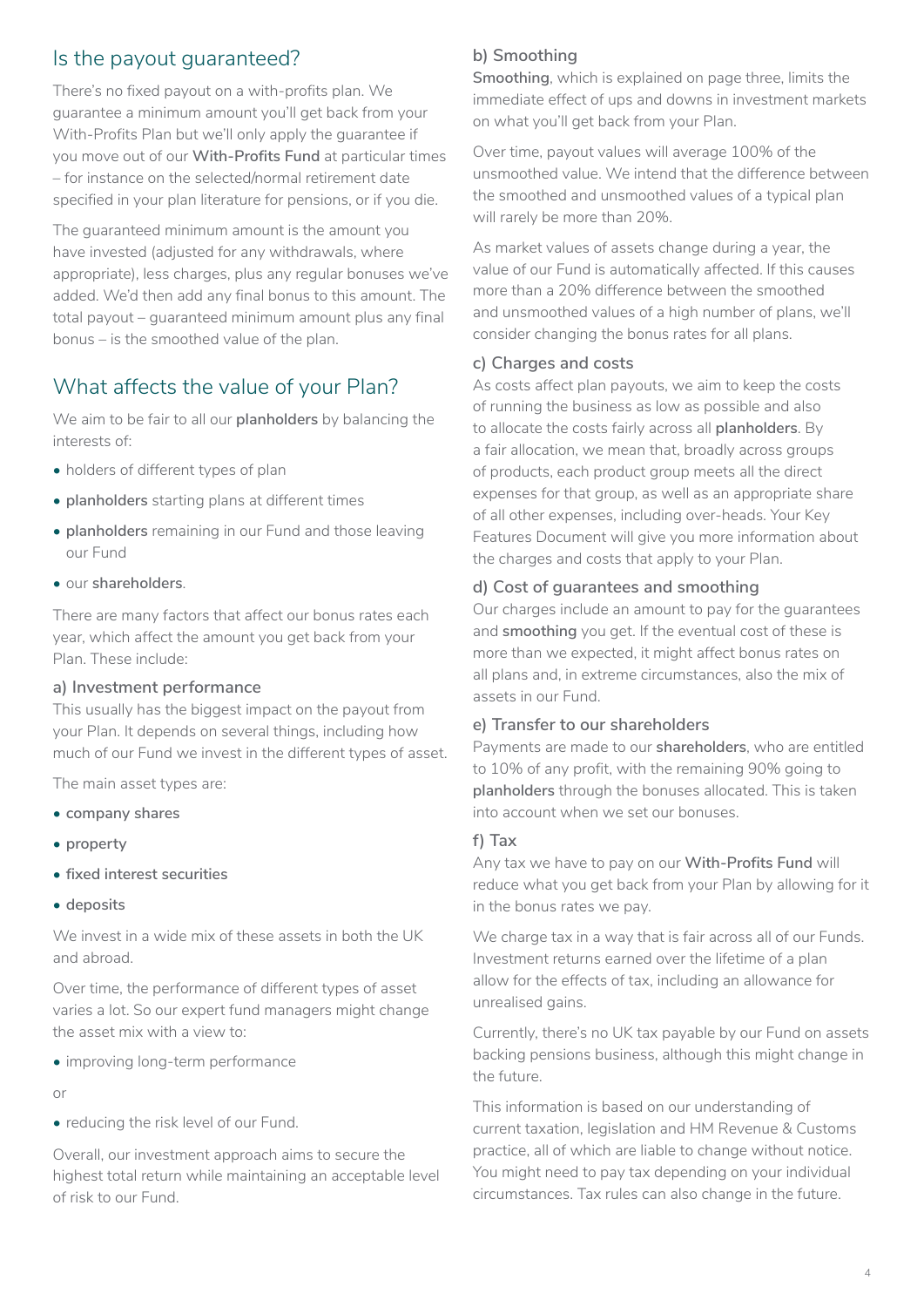### Is the payout guaranteed?

There's no fixed payout on a with-profits plan. We guarantee a minimum amount you'll get back from your With-Profits Plan but we'll only apply the guarantee if you move out of our **With-Profits Fund** at particular times – for instance on the selected/normal retirement date specified in your plan literature for pensions, or if you die.

The guaranteed minimum amount is the amount you have invested (adjusted for any withdrawals, where appropriate), less charges, plus any regular bonuses we've added. We'd then add any final bonus to this amount. The total payout – guaranteed minimum amount plus any final bonus – is the smoothed value of the plan.

# What affects the value of your Plan?

We aim to be fair to all our **planholders** by balancing the interests of:

- holders of different types of plan
- **planholders** starting plans at different times
- **planholders** remaining in our Fund and those leaving our Fund
- our **shareholders**.

There are many factors that affect our bonus rates each year, which affect the amount you get back from your Plan. These include:

### **a) Investment performance**

This usually has the biggest impact on the payout from your Plan. It depends on several things, including how much of our Fund we invest in the different types of asset.

The main asset types are:

- **company shares**
- **property**
- **fixed interest securities**
- **deposits**

We invest in a wide mix of these assets in both the UK and abroad.

Over time, the performance of different types of asset varies a lot. So our expert fund managers might change the asset mix with a view to:

• improving long-term performance

or

• reducing the risk level of our Fund.

Overall, our investment approach aims to secure the highest total return while maintaining an acceptable level of risk to our Fund.

### **b) Smoothing**

**Smoothing**, which is explained on page three, limits the immediate effect of ups and downs in investment markets on what you'll get back from your Plan.

Over time, payout values will average 100% of the unsmoothed value. We intend that the difference between the smoothed and unsmoothed values of a typical plan will rarely be more than 20%.

As market values of assets change during a year, the value of our Fund is automatically affected. If this causes more than a 20% difference between the smoothed and unsmoothed values of a high number of plans, we'll consider changing the bonus rates for all plans.

### **c) Charges and costs**

As costs affect plan payouts, we aim to keep the costs of running the business as low as possible and also to allocate the costs fairly across all **planholders**. By a fair allocation, we mean that, broadly across groups of products, each product group meets all the direct expenses for that group, as well as an appropriate share of all other expenses, including over-heads. Your Key Features Document will give you more information about the charges and costs that apply to your Plan.

### **d) Cost of guarantees and smoothing**

Our charges include an amount to pay for the guarantees and **smoothing** you get. If the eventual cost of these is more than we expected, it might affect bonus rates on all plans and, in extreme circumstances, also the mix of assets in our Fund.

### **e) Transfer to our shareholders**

Payments are made to our **shareholders**, who are entitled to 10% of any profit, with the remaining 90% going to **planholders** through the bonuses allocated. This is taken into account when we set our bonuses.

### **f) Tax**

Any tax we have to pay on our **With-Profits Fund** will reduce what you get back from your Plan by allowing for it in the bonus rates we pay.

We charge tax in a way that is fair across all of our Funds. Investment returns earned over the lifetime of a plan allow for the effects of tax, including an allowance for unrealised gains.

Currently, there's no UK tax payable by our Fund on assets backing pensions business, although this might change in the future.

This information is based on our understanding of current taxation, legislation and HM Revenue & Customs practice, all of which are liable to change without notice. You might need to pay tax depending on your individual circumstances. Tax rules can also change in the future.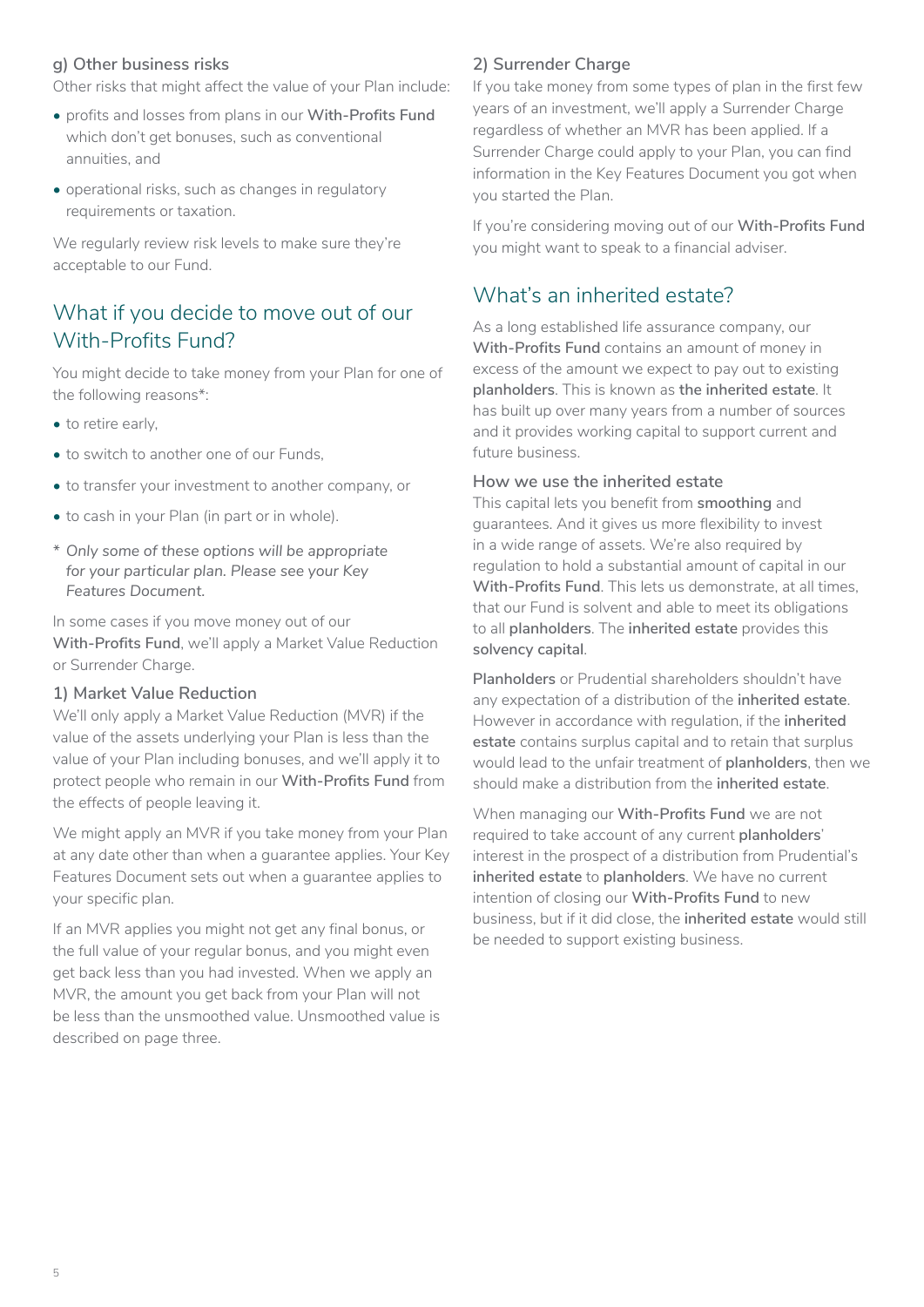#### **g) Other business risks**

Other risks that might affect the value of your Plan include:

- profits and losses from plans in our **With-Profits Fund** which don't get bonuses, such as conventional annuities, and
- operational risks, such as changes in regulatory requirements or taxation.

We regularly review risk levels to make sure they're acceptable to our Fund.

# What if you decide to move out of our With-Profits Fund?

You might decide to take money from your Plan for one of the following reasons\*:

- to retire early,
- to switch to another one of our Funds,
- to transfer your investment to another company, or
- to cash in your Plan (in part or in whole).
- *\* Only some of these options will be appropriate for your particular plan. Please see your Key Features Document.*

In some cases if you move money out of our **With-Profits Fund**, we'll apply a Market Value Reduction or Surrender Charge.

#### **1) Market Value Reduction**

We'll only apply a Market Value Reduction (MVR) if the value of the assets underlying your Plan is less than the value of your Plan including bonuses, and we'll apply it to protect people who remain in our **With-Profits Fund** from the effects of people leaving it.

We might apply an MVR if you take money from your Plan at any date other than when a guarantee applies. Your Key Features Document sets out when a guarantee applies to your specific plan.

If an MVR applies you might not get any final bonus, or the full value of your regular bonus, and you might even get back less than you had invested. When we apply an MVR, the amount you get back from your Plan will not be less than the unsmoothed value. Unsmoothed value is described on page three.

#### **2) Surrender Charge**

If you take money from some types of plan in the first few years of an investment, we'll apply a Surrender Charge regardless of whether an MVR has been applied. If a Surrender Charge could apply to your Plan, you can find information in the Key Features Document you got when you started the Plan.

If you're considering moving out of our **With-Profits Fund** you might want to speak to a financial adviser.

### What's an inherited estate?

As a long established life assurance company, our **With-Profits Fund** contains an amount of money in excess of the amount we expect to pay out to existing **planholders**. This is known as **the inherited estate**. It has built up over many years from a number of sources and it provides working capital to support current and future business.

#### **How we use the inherited estate**

This capital lets you benefit from **smoothing** and guarantees. And it gives us more flexibility to invest in a wide range of assets. We're also required by regulation to hold a substantial amount of capital in our **With-Profits Fund**. This lets us demonstrate, at all times, that our Fund is solvent and able to meet its obligations to all **planholders**. The **inherited estate** provides this **solvency capital**.

**Planholders** or Prudential shareholders shouldn't have any expectation of a distribution of the **inherited estate**. However in accordance with regulation, if the **inherited estate** contains surplus capital and to retain that surplus would lead to the unfair treatment of **planholders**, then we should make a distribution from the **inherited estate**.

When managing our **With-Profits Fund** we are not required to take account of any current **planholders**' interest in the prospect of a distribution from Prudential's **inherited estate** to **planholders**. We have no current intention of closing our **With-Profits Fund** to new business, but if it did close, the **inherited estate** would still be needed to support existing business.